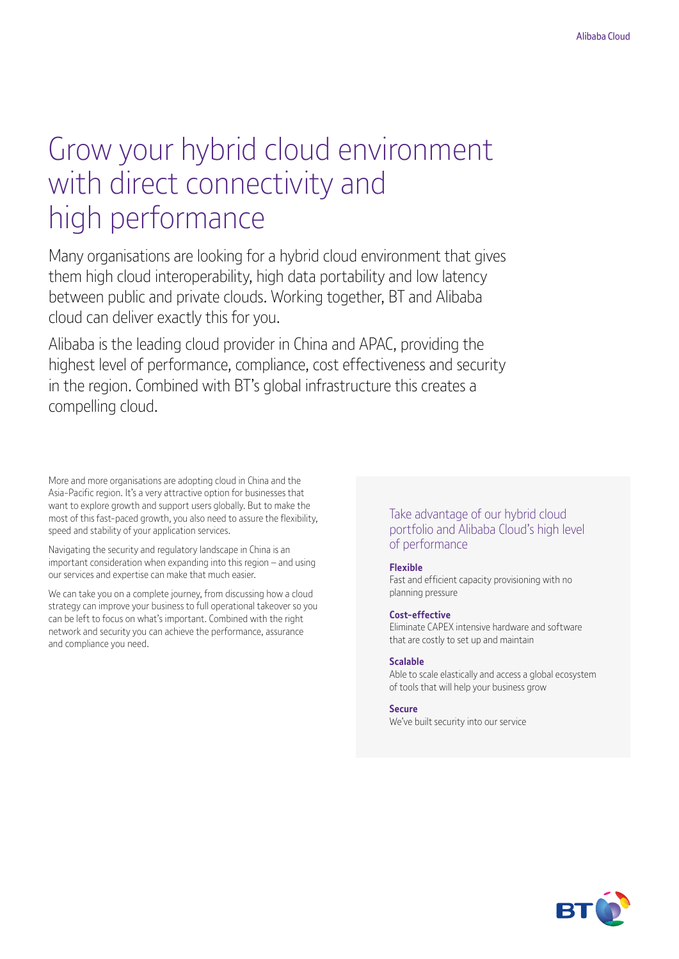# Grow your hybrid cloud environment with direct connectivity and high performance

Many organisations are looking for a hybrid cloud environment that gives them high cloud interoperability, high data portability and low latency between public and private clouds. Working together, BT and Alibaba cloud can deliver exactly this for you.

Alibaba is the leading cloud provider in China and APAC, providing the highest level of performance, compliance, cost effectiveness and security in the region. Combined with BT's global infrastructure this creates a compelling cloud.

More and more organisations are adopting cloud in China and the Asia-Pacific region. It's a very attractive option for businesses that want to explore growth and support users globally. But to make the most of this fast-paced growth, you also need to assure the flexibility, speed and stability of your application services.

Navigating the security and regulatory landscape in China is an important consideration when expanding into this region – and using our services and expertise can make that much easier.

We can take you on a complete journey, from discussing how a cloud strategy can improve your business to full operational takeover so you can be left to focus on what's important. Combined with the right network and security you can achieve the performance, assurance and compliance you need.

### Take advantage of our hybrid cloud portfolio and Alibaba Cloud's high level of performance

### **Flexible**

Fast and efficient capacity provisioning with no planning pressure

#### **Cost-effective**

Eliminate CAPEX intensive hardware and software that are costly to set up and maintain

#### **Scalable**

Able to scale elastically and access a global ecosystem of tools that will help your business grow

#### **Secure**

We've built security into our service